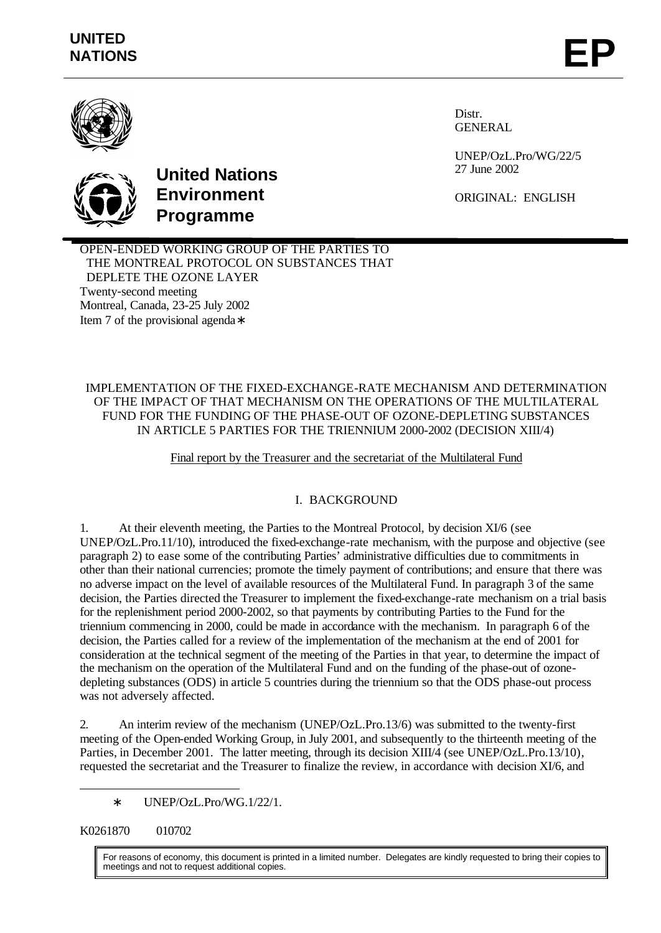

Distr. GENERAL

UNEP/OzL.Pro/WG/22/5 27 June 2002

ORIGINAL: ENGLISH



# **United Nations Environment Programme**

OPEN-ENDED WORKING GROUP OF THE PARTIES TO THE MONTREAL PROTOCOL ON SUBSTANCES THAT DEPLETE THE OZONE LAYER Twenty-second meeting Montreal, Canada, 23-25 July 2002 Item 7 of the provisional agenda∗

IMPLEMENTATION OF THE FIXED-EXCHANGE-RATE MECHANISM AND DETERMINATION OF THE IMPACT OF THAT MECHANISM ON THE OPERATIONS OF THE MULTILATERAL FUND FOR THE FUNDING OF THE PHASE-OUT OF OZONE-DEPLETING SUBSTANCES IN ARTICLE 5 PARTIES FOR THE TRIENNIUM 2000-2002 (DECISION XIII/4)

Final report by the Treasurer and the secretariat of the Multilateral Fund

# I.BACKGROUND

1. At their eleventh meeting, the Parties to the Montreal Protocol, by decision XI/6 (see UNEP/OzL.Pro.11/10), introduced the fixed-exchange-rate mechanism, with the purpose and objective (see paragraph 2) to ease some of the contributing Parties' administrative difficulties due to commitments in other than their national currencies; promote the timely payment of contributions; and ensure that there was no adverse impact on the level of available resources of the Multilateral Fund. In paragraph 3 of the same decision, the Parties directed the Treasurer to implement the fixed-exchange-rate mechanism on a trial basis for the replenishment period 2000-2002, so that payments by contributing Parties to the Fund for the triennium commencing in 2000, could be made in accordance with the mechanism. In paragraph 6 of the decision, the Parties called for a review of the implementation of the mechanism at the end of 2001 for consideration at the technical segment of the meeting of the Parties in that year, to determine the impact of the mechanism on the operation of the Multilateral Fund and on the funding of the phase-out of ozonedepleting substances (ODS) in article 5 countries during the triennium so that the ODS phase-out process was not adversely affected.

2. An interim review of the mechanism (UNEP/OzL.Pro.13/6) was submitted to the twenty-first meeting of the Open-ended Working Group, in July 2001, and subsequently to the thirteenth meeting of the Parties, in December 2001. The latter meeting, through its decision XIII/4 (see UNEP/OzL.Pro.13/10), requested the secretariat and the Treasurer to finalize the review, in accordance with decision XI/6, and

∗ UNEP/OzL.Pro/WG.1/22/1.

K0261870 010702

l

For reasons of economy, this document is printed in a limited number. Delegates are kindly requested to bring their copies to meetings and not to request additional copies.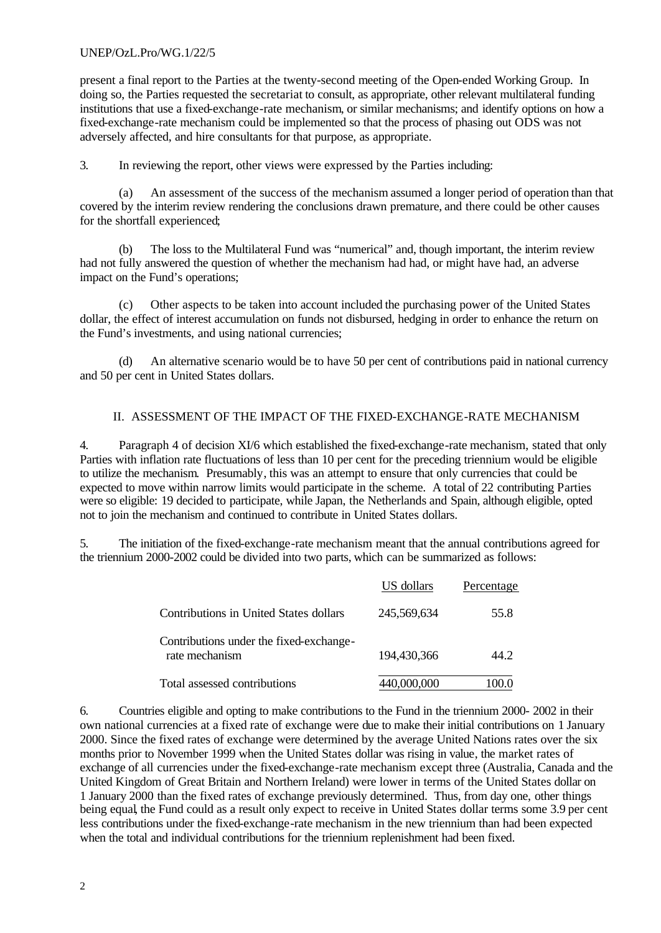#### UNEP/OzL.Pro/WG.1/22/5

present a final report to the Parties at the twenty-second meeting of the Open-ended Working Group. In doing so, the Parties requested the secretariat to consult, as appropriate, other relevant multilateral funding institutions that use a fixed-exchange-rate mechanism, or similar mechanisms; and identify options on how a fixed-exchange-rate mechanism could be implemented so that the process of phasing out ODS was not adversely affected, and hire consultants for that purpose, as appropriate.

3. In reviewing the report, other views were expressed by the Parties including:

(a) An assessment of the success of the mechanism assumed a longer period of operation than that covered by the interim review rendering the conclusions drawn premature, and there could be other causes for the shortfall experienced;

(b) The loss to the Multilateral Fund was "numerical" and, though important, the interim review had not fully answered the question of whether the mechanism had had, or might have had, an adverse impact on the Fund's operations;

(c) Other aspects to be taken into account included the purchasing power of the United States dollar, the effect of interest accumulation on funds not disbursed, hedging in order to enhance the return on the Fund's investments, and using national currencies;

(d) An alternative scenario would be to have 50 per cent of contributions paid in national currency and 50 per cent in United States dollars.

#### II. ASSESSMENT OF THE IMPACT OF THE FIXED-EXCHANGE-RATE MECHANISM

4. Paragraph 4 of decision XI/6 which established the fixed-exchange-rate mechanism, stated that only Parties with inflation rate fluctuations of less than 10 per cent for the preceding triennium would be eligible to utilize the mechanism. Presumably, this was an attempt to ensure that only currencies that could be expected to move within narrow limits would participate in the scheme. A total of 22 contributing Parties were so eligible: 19 decided to participate, while Japan, the Netherlands and Spain, although eligible, opted not to join the mechanism and continued to contribute in United States dollars.

5. The initiation of the fixed-exchange-rate mechanism meant that the annual contributions agreed for the triennium 2000-2002 could be divided into two parts, which can be summarized as follows:

|                                                           | US dollars  | Percentage |
|-----------------------------------------------------------|-------------|------------|
| Contributions in United States dollars                    | 245,569,634 | 55.8       |
| Contributions under the fixed-exchange-<br>rate mechanism | 194,430,366 | 44 2.      |
| Total assessed contributions                              | 440.000.000 |            |

6. Countries eligible and opting to make contributions to the Fund in the triennium 2000- 2002 in their own national currencies at a fixed rate of exchange were due to make their initial contributions on 1 January 2000. Since the fixed rates of exchange were determined by the average United Nations rates over the six months prior to November 1999 when the United States dollar was rising in value, the market rates of exchange of all currencies under the fixed-exchange-rate mechanism except three (Australia, Canada and the United Kingdom of Great Britain and Northern Ireland) were lower in terms of the United States dollar on 1 January 2000 than the fixed rates of exchange previously determined. Thus, from day one, other things being equal, the Fund could as a result only expect to receive in United States dollar terms some 3.9 per cent less contributions under the fixed-exchange-rate mechanism in the new triennium than had been expected when the total and individual contributions for the triennium replenishment had been fixed.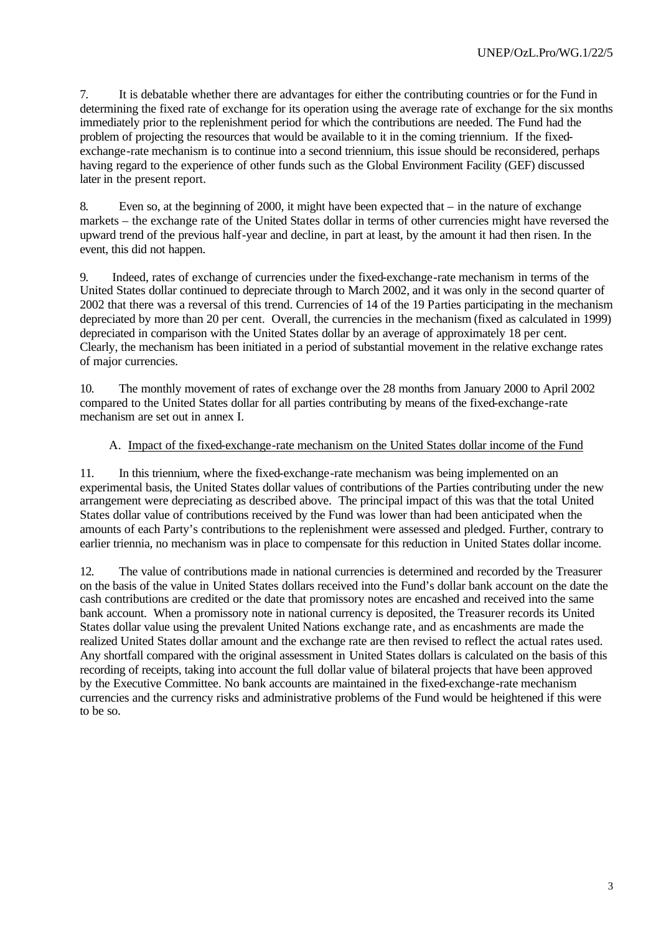7. It is debatable whether there are advantages for either the contributing countries or for the Fund in determining the fixed rate of exchange for its operation using the average rate of exchange for the six months immediately prior to the replenishment period for which the contributions are needed. The Fund had the problem of projecting the resources that would be available to it in the coming triennium. If the fixedexchange-rate mechanism is to continue into a second triennium, this issue should be reconsidered, perhaps having regard to the experience of other funds such as the Global Environment Facility (GEF) discussed later in the present report.

8. Even so, at the beginning of 2000, it might have been expected that – in the nature of exchange markets – the exchange rate of the United States dollar in terms of other currencies might have reversed the upward trend of the previous half-year and decline, in part at least, by the amount it had then risen. In the event, this did not happen.

9. Indeed, rates of exchange of currencies under the fixed-exchange-rate mechanism in terms of the United States dollar continued to depreciate through to March 2002, and it was only in the second quarter of 2002 that there was a reversal of this trend. Currencies of 14 of the 19 Parties participating in the mechanism depreciated by more than 20 per cent. Overall, the currencies in the mechanism (fixed as calculated in 1999) depreciated in comparison with the United States dollar by an average of approximately 18 per cent. Clearly, the mechanism has been initiated in a period of substantial movement in the relative exchange rates of major currencies.

10. The monthly movement of rates of exchange over the 28 months from January 2000 to April 2002 compared to the United States dollar for all parties contributing by means of the fixed-exchange-rate mechanism are set out in annex I.

#### A. Impact of the fixed-exchange-rate mechanism on the United States dollar income of the Fund

11. In this triennium, where the fixed-exchange-rate mechanism was being implemented on an experimental basis, the United States dollar values of contributions of the Parties contributing under the new arrangement were depreciating as described above. The principal impact of this was that the total United States dollar value of contributions received by the Fund was lower than had been anticipated when the amounts of each Party's contributions to the replenishment were assessed and pledged. Further, contrary to earlier triennia, no mechanism was in place to compensate for this reduction in United States dollar income.

12. The value of contributions made in national currencies is determined and recorded by the Treasurer on the basis of the value in United States dollars received into the Fund's dollar bank account on the date the cash contributions are credited or the date that promissory notes are encashed and received into the same bank account. When a promissory note in national currency is deposited, the Treasurer records its United States dollar value using the prevalent United Nations exchange rate, and as encashments are made the realized United States dollar amount and the exchange rate are then revised to reflect the actual rates used. Any shortfall compared with the original assessment in United States dollars is calculated on the basis of this recording of receipts, taking into account the full dollar value of bilateral projects that have been approved by the Executive Committee. No bank accounts are maintained in the fixed-exchange-rate mechanism currencies and the currency risks and administrative problems of the Fund would be heightened if this were to be so.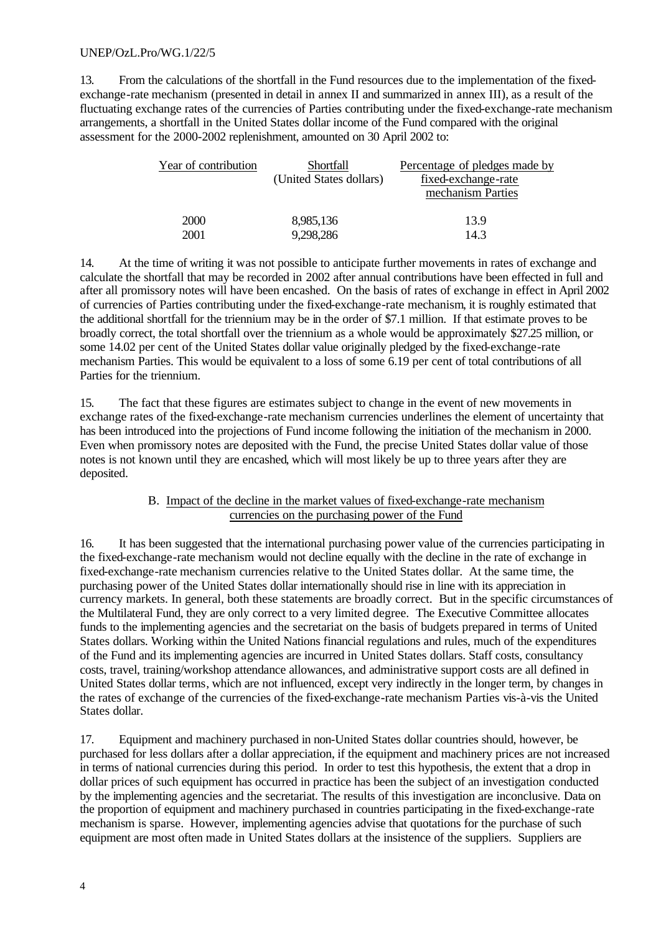#### UNEP/OzL.Pro/WG.1/22/5

13. From the calculations of the shortfall in the Fund resources due to the implementation of the fixedexchange-rate mechanism (presented in detail in annex II and summarized in annex III), as a result of the fluctuating exchange rates of the currencies of Parties contributing under the fixed-exchange-rate mechanism arrangements, a shortfall in the United States dollar income of the Fund compared with the original assessment for the 2000-2002 replenishment, amounted on 30 April 2002 to:

| Year of contribution | Shortfall               | Percentage of pledges made by            |  |
|----------------------|-------------------------|------------------------------------------|--|
|                      | (United States dollars) | fixed-exchange-rate<br>mechanism Parties |  |
| <b>2000</b>          | 8,985,136               | 13.9                                     |  |
| 2001                 | 9,298,286               | 14.3                                     |  |

14. At the time of writing it was not possible to anticipate further movements in rates of exchange and calculate the shortfall that may be recorded in 2002 after annual contributions have been effected in full and after all promissory notes will have been encashed. On the basis of rates of exchange in effect in April 2002 of currencies of Parties contributing under the fixed-exchange-rate mechanism, it is roughly estimated that the additional shortfall for the triennium may be in the order of \$7.1 million. If that estimate proves to be broadly correct, the total shortfall over the triennium as a whole would be approximately \$27.25 million, or some 14.02 per cent of the United States dollar value originally pledged by the fixed-exchange-rate mechanism Parties. This would be equivalent to a loss of some 6.19 per cent of total contributions of all Parties for the triennium.

15. The fact that these figures are estimates subject to change in the event of new movements in exchange rates of the fixed-exchange-rate mechanism currencies underlines the element of uncertainty that has been introduced into the projections of Fund income following the initiation of the mechanism in 2000. Even when promissory notes are deposited with the Fund, the precise United States dollar value of those notes is not known until they are encashed, which will most likely be up to three years after they are deposited.

#### B. Impact of the decline in the market values of fixed-exchange-rate mechanism currencies on the purchasing power of the Fund

16. It has been suggested that the international purchasing power value of the currencies participating in the fixed-exchange-rate mechanism would not decline equally with the decline in the rate of exchange in fixed-exchange-rate mechanism currencies relative to the United States dollar. At the same time, the purchasing power of the United States dollar internationally should rise in line with its appreciation in currency markets. In general, both these statements are broadly correct. But in the specific circumstances of the Multilateral Fund, they are only correct to a very limited degree. The Executive Committee allocates funds to the implementing agencies and the secretariat on the basis of budgets prepared in terms of United States dollars. Working within the United Nations financial regulations and rules, much of the expenditures of the Fund and its implementing agencies are incurred in United States dollars. Staff costs, consultancy costs, travel, training/workshop attendance allowances, and administrative support costs are all defined in United States dollar terms, which are not influenced, except very indirectly in the longer term, by changes in the rates of exchange of the currencies of the fixed-exchange-rate mechanism Parties vis-à-vis the United States dollar.

17. Equipment and machinery purchased in non-United States dollar countries should, however, be purchased for less dollars after a dollar appreciation, if the equipment and machinery prices are not increased in terms of national currencies during this period. In order to test this hypothesis, the extent that a drop in dollar prices of such equipment has occurred in practice has been the subject of an investigation conducted by the implementing agencies and the secretariat. The results of this investigation are inconclusive. Data on the proportion of equipment and machinery purchased in countries participating in the fixed-exchange-rate mechanism is sparse. However, implementing agencies advise that quotations for the purchase of such equipment are most often made in United States dollars at the insistence of the suppliers. Suppliers are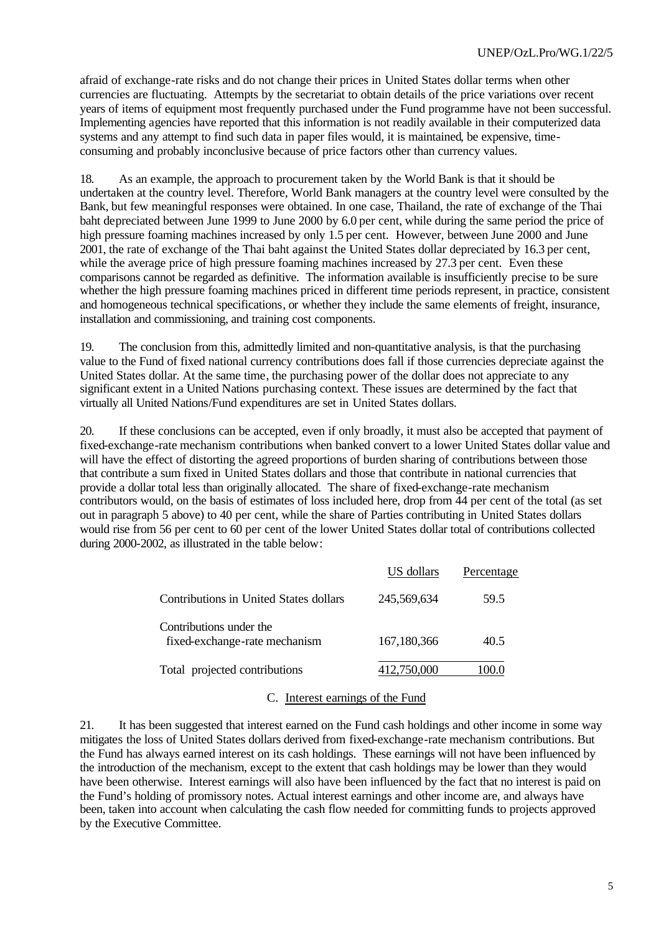afraid of exchange-rate risks and do not change their prices in United States dollar terms when other currencies are fluctuating. Attempts by the secretariat to obtain details of the price variations over recent years of items of equipment most frequently purchased under the Fund programme have not been successful. Implementing agencies have reported that this information is not readily available in their computerized data systems and any attempt to find such data in paper files would, it is maintained, be expensive, timeconsuming and probably inconclusive because of price factors other than currency values.

18. As an example, the approach to procurement taken by the World Bank is that it should be undertaken at the country level. Therefore, World Bank managers at the country level were consulted by the Bank, but few meaningful responses were obtained. In one case, Thailand, the rate of exchange of the Thai baht depreciated between June 1999 to June 2000 by 6.0 per cent, while during the same period the price of high pressure foaming machines increased by only 1.5 per cent. However, between June 2000 and June 2001, the rate of exchange of the Thai baht against the United States dollar depreciated by 16.3 per cent, while the average price of high pressure foaming machines increased by 27.3 per cent. Even these comparisons cannot be regarded as definitive. The information available is insufficiently precise to be sure whether the high pressure foaming machines priced in different time periods represent, in practice, consistent and homogeneous technical specifications, or whether they include the same elements of freight, insurance, installation and commissioning, and training cost components.

19. The conclusion from this, admittedly limited and non-quantitative analysis, is that the purchasing value to the Fund of fixed national currency contributions does fall if those currencies depreciate against the United States dollar. At the same time, the purchasing power of the dollar does not appreciate to any significant extent in a United Nations purchasing context. These issues are determined by the fact that virtually all United Nations/Fund expenditures are set in United States dollars.

20. If these conclusions can be accepted, even if only broadly, it must also be accepted that payment of fixed-exchange-rate mechanism contributions when banked convert to a lower United States dollar value and will have the effect of distorting the agreed proportions of burden sharing of contributions between those that contribute a sum fixed in United States dollars and those that contribute in national currencies that provide a dollar total less than originally allocated. The share of fixed-exchange-rate mechanism contributors would, on the basis of estimates of loss included here, drop from 44 per cent of the total (as set out in paragraph 5 above) to 40 per cent, while the share of Parties contributing in United States dollars would rise from 56 per cent to 60 per cent of the lower United States dollar total of contributions collected during 2000-2002, as illustrated in the table below:

|                                                          | US dollars  | Percentage |
|----------------------------------------------------------|-------------|------------|
| Contributions in United States dollars                   | 245,569,634 | 59.5       |
| Contributions under the<br>fixed-exchange-rate mechanism | 167,180,366 | 40.5       |
| Total projected contributions                            | 412,750,000 | 100.0      |

#### C. Interest earnings of the Fund

21. It has been suggested that interest earned on the Fund cash holdings and other income in some way mitigates the loss of United States dollars derived from fixed-exchange-rate mechanism contributions. But the Fund has always earned interest on its cash holdings. These earnings will not have been influenced by the introduction of the mechanism, except to the extent that cash holdings may be lower than they would have been otherwise. Interest earnings will also have been influenced by the fact that no interest is paid on the Fund's holding of promissory notes. Actual interest earnings and other income are, and always have been, taken into account when calculating the cash flow needed for committing funds to projects approved by the Executive Committee.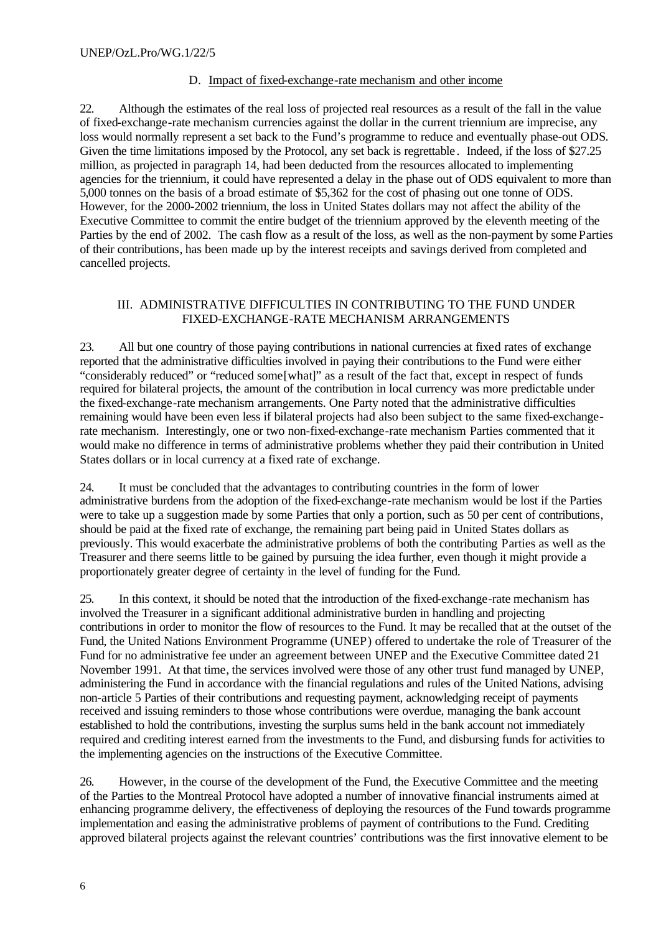#### D. Impact of fixed-exchange-rate mechanism and other income

22. Although the estimates of the real loss of projected real resources as a result of the fall in the value of fixed-exchange-rate mechanism currencies against the dollar in the current triennium are imprecise, any loss would normally represent a set back to the Fund's programme to reduce and eventually phase-out ODS. Given the time limitations imposed by the Protocol, any set back is regrettable. Indeed, if the loss of \$27.25 million, as projected in paragraph 14, had been deducted from the resources allocated to implementing agencies for the triennium, it could have represented a delay in the phase out of ODS equivalent to more than 5,000 tonnes on the basis of a broad estimate of \$5,362 for the cost of phasing out one tonne of ODS. However, for the 2000-2002 triennium, the loss in United States dollars may not affect the ability of the Executive Committee to commit the entire budget of the triennium approved by the eleventh meeting of the Parties by the end of 2002. The cash flow as a result of the loss, as well as the non-payment by some Parties of their contributions, has been made up by the interest receipts and savings derived from completed and cancelled projects.

#### III. ADMINISTRATIVE DIFFICULTIES IN CONTRIBUTING TO THE FUND UNDER FIXED-EXCHANGE-RATE MECHANISM ARRANGEMENTS

23. All but one country of those paying contributions in national currencies at fixed rates of exchange reported that the administrative difficulties involved in paying their contributions to the Fund were either "considerably reduced" or "reduced some[what]" as a result of the fact that, except in respect of funds required for bilateral projects, the amount of the contribution in local currency was more predictable under the fixed-exchange-rate mechanism arrangements. One Party noted that the administrative difficulties remaining would have been even less if bilateral projects had also been subject to the same fixed-exchangerate mechanism. Interestingly, one or two non-fixed-exchange-rate mechanism Parties commented that it would make no difference in terms of administrative problems whether they paid their contribution in United States dollars or in local currency at a fixed rate of exchange.

24. It must be concluded that the advantages to contributing countries in the form of lower administrative burdens from the adoption of the fixed-exchange-rate mechanism would be lost if the Parties were to take up a suggestion made by some Parties that only a portion, such as 50 per cent of contributions, should be paid at the fixed rate of exchange, the remaining part being paid in United States dollars as previously. This would exacerbate the administrative problems of both the contributing Parties as well as the Treasurer and there seems little to be gained by pursuing the idea further, even though it might provide a proportionately greater degree of certainty in the level of funding for the Fund.

25. In this context, it should be noted that the introduction of the fixed-exchange-rate mechanism has involved the Treasurer in a significant additional administrative burden in handling and projecting contributions in order to monitor the flow of resources to the Fund. It may be recalled that at the outset of the Fund, the United Nations Environment Programme (UNEP) offered to undertake the role of Treasurer of the Fund for no administrative fee under an agreement between UNEP and the Executive Committee dated 21 November 1991. At that time, the services involved were those of any other trust fund managed by UNEP, administering the Fund in accordance with the financial regulations and rules of the United Nations, advising non-article 5 Parties of their contributions and requesting payment, acknowledging receipt of payments received and issuing reminders to those whose contributions were overdue, managing the bank account established to hold the contributions, investing the surplus sums held in the bank account not immediately required and crediting interest earned from the investments to the Fund, and disbursing funds for activities to the implementing agencies on the instructions of the Executive Committee.

26. However, in the course of the development of the Fund, the Executive Committee and the meeting of the Parties to the Montreal Protocol have adopted a number of innovative financial instruments aimed at enhancing programme delivery, the effectiveness of deploying the resources of the Fund towards programme implementation and easing the administrative problems of payment of contributions to the Fund. Crediting approved bilateral projects against the relevant countries' contributions was the first innovative element to be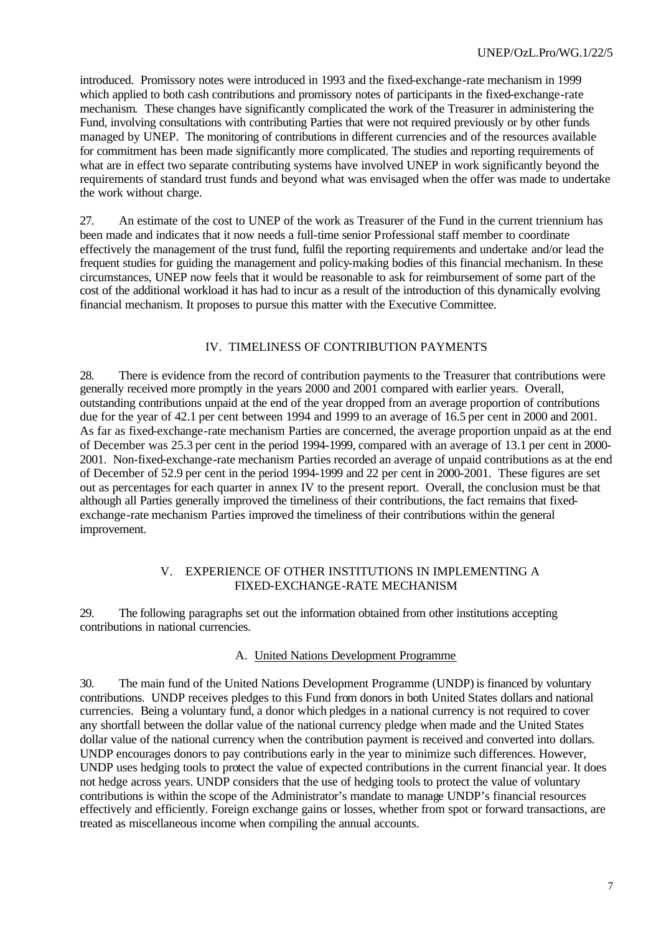introduced. Promissory notes were introduced in 1993 and the fixed-exchange-rate mechanism in 1999 which applied to both cash contributions and promissory notes of participants in the fixed-exchange-rate mechanism. These changes have significantly complicated the work of the Treasurer in administering the Fund, involving consultations with contributing Parties that were not required previously or by other funds managed by UNEP. The monitoring of contributions in different currencies and of the resources available for commitment has been made significantly more complicated. The studies and reporting requirements of what are in effect two separate contributing systems have involved UNEP in work significantly beyond the requirements of standard trust funds and beyond what was envisaged when the offer was made to undertake the work without charge.

27. An estimate of the cost to UNEP of the work as Treasurer of the Fund in the current triennium has been made and indicates that it now needs a full-time senior Professional staff member to coordinate effectively the management of the trust fund, fulfil the reporting requirements and undertake and/or lead the frequent studies for guiding the management and policy-making bodies of this financial mechanism. In these circumstances, UNEP now feels that it would be reasonable to ask for reimbursement of some part of the cost of the additional workload it has had to incur as a result of the introduction of this dynamically evolving financial mechanism. It proposes to pursue this matter with the Executive Committee.

#### IV. TIMELINESS OF CONTRIBUTION PAYMENTS

28. There is evidence from the record of contribution payments to the Treasurer that contributions were generally received more promptly in the years 2000 and 2001 compared with earlier years. Overall, outstanding contributions unpaid at the end of the year dropped from an average proportion of contributions due for the year of 42.1 per cent between 1994 and 1999 to an average of 16.5 per cent in 2000 and 2001. As far as fixed-exchange-rate mechanism Parties are concerned, the average proportion unpaid as at the end of December was 25.3 per cent in the period 1994-1999, compared with an average of 13.1 per cent in 2000- 2001. Non-fixed-exchange-rate mechanism Parties recorded an average of unpaid contributions as at the end of December of 52.9 per cent in the period 1994-1999 and 22 per cent in 2000-2001. These figures are set out as percentages for each quarter in annex IV to the present report. Overall, the conclusion must be that although all Parties generally improved the timeliness of their contributions, the fact remains that fixedexchange-rate mechanism Parties improved the timeliness of their contributions within the general improvement.

#### V. EXPERIENCE OF OTHER INSTITUTIONS IN IMPLEMENTING A FIXED-EXCHANGE-RATE MECHANISM

29. The following paragraphs set out the information obtained from other institutions accepting contributions in national currencies.

#### A. United Nations Development Programme

30. The main fund of the United Nations Development Programme (UNDP) is financed by voluntary contributions. UNDP receives pledges to this Fund from donors in both United States dollars and national currencies. Being a voluntary fund, a donor which pledges in a national currency is not required to cover any shortfall between the dollar value of the national currency pledge when made and the United States dollar value of the national currency when the contribution payment is received and converted into dollars. UNDP encourages donors to pay contributions early in the year to minimize such differences. However, UNDP uses hedging tools to protect the value of expected contributions in the current financial year. It does not hedge across years. UNDP considers that the use of hedging tools to protect the value of voluntary contributions is within the scope of the Administrator's mandate to manage UNDP's financial resources effectively and efficiently. Foreign exchange gains or losses, whether from spot or forward transactions, are treated as miscellaneous income when compiling the annual accounts.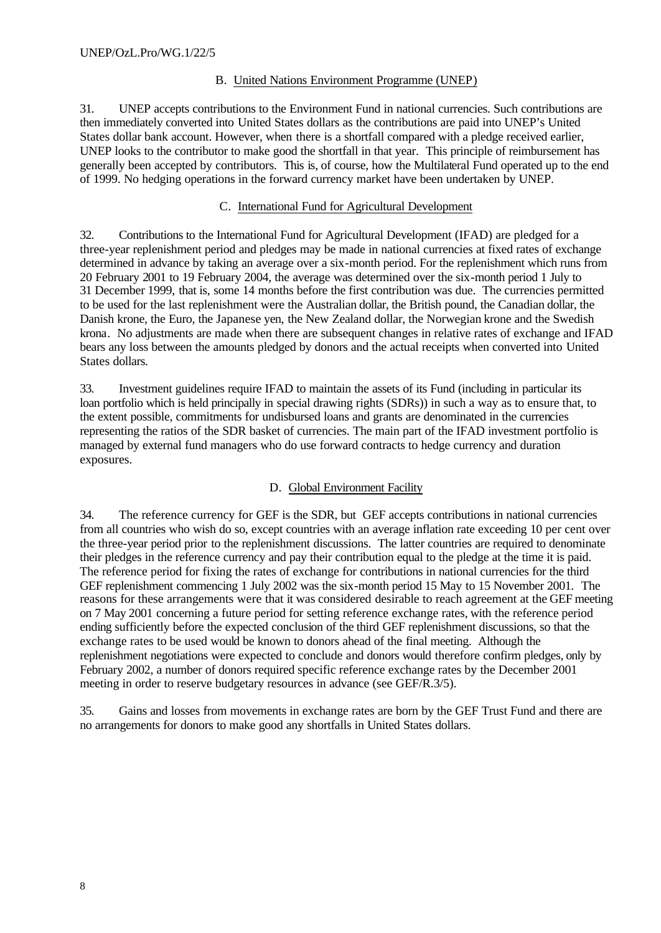## B. United Nations Environment Programme (UNEP)

31. UNEP accepts contributions to the Environment Fund in national currencies. Such contributions are then immediately converted into United States dollars as the contributions are paid into UNEP's United States dollar bank account. However, when there is a shortfall compared with a pledge received earlier, UNEP looks to the contributor to make good the shortfall in that year. This principle of reimbursement has generally been accepted by contributors. This is, of course, how the Multilateral Fund operated up to the end of 1999. No hedging operations in the forward currency market have been undertaken by UNEP.

## C. International Fund for Agricultural Development

32. Contributions to the International Fund for Agricultural Development (IFAD) are pledged for a three-year replenishment period and pledges may be made in national currencies at fixed rates of exchange determined in advance by taking an average over a six-month period. For the replenishment which runs from 20 February 2001 to 19 February 2004, the average was determined over the six-month period 1 July to 31 December 1999, that is, some 14 months before the first contribution was due. The currencies permitted to be used for the last replenishment were the Australian dollar, the British pound, the Canadian dollar, the Danish krone, the Euro, the Japanese yen, the New Zealand dollar, the Norwegian krone and the Swedish krona. No adjustments are made when there are subsequent changes in relative rates of exchange and IFAD bears any loss between the amounts pledged by donors and the actual receipts when converted into United States dollars.

33. Investment guidelines require IFAD to maintain the assets of its Fund (including in particular its loan portfolio which is held principally in special drawing rights (SDRs)) in such a way as to ensure that, to the extent possible, commitments for undisbursed loans and grants are denominated in the currencies representing the ratios of the SDR basket of currencies. The main part of the IFAD investment portfolio is managed by external fund managers who do use forward contracts to hedge currency and duration exposures.

# D. Global Environment Facility

34. The reference currency for GEF is the SDR, but GEF accepts contributions in national currencies from all countries who wish do so, except countries with an average inflation rate exceeding 10 per cent over the three-year period prior to the replenishment discussions. The latter countries are required to denominate their pledges in the reference currency and pay their contribution equal to the pledge at the time it is paid. The reference period for fixing the rates of exchange for contributions in national currencies for the third GEF replenishment commencing 1 July 2002 was the six-month period 15 May to 15 November 2001. The reasons for these arrangements were that it was considered desirable to reach agreement at the GEF meeting on 7 May 2001 concerning a future period for setting reference exchange rates, with the reference period ending sufficiently before the expected conclusion of the third GEF replenishment discussions, so that the exchange rates to be used would be known to donors ahead of the final meeting. Although the replenishment negotiations were expected to conclude and donors would therefore confirm pledges, only by February 2002, a number of donors required specific reference exchange rates by the December 2001 meeting in order to reserve budgetary resources in advance (see GEF/R.3/5).

35. Gains and losses from movements in exchange rates are born by the GEF Trust Fund and there are no arrangements for donors to make good any shortfalls in United States dollars.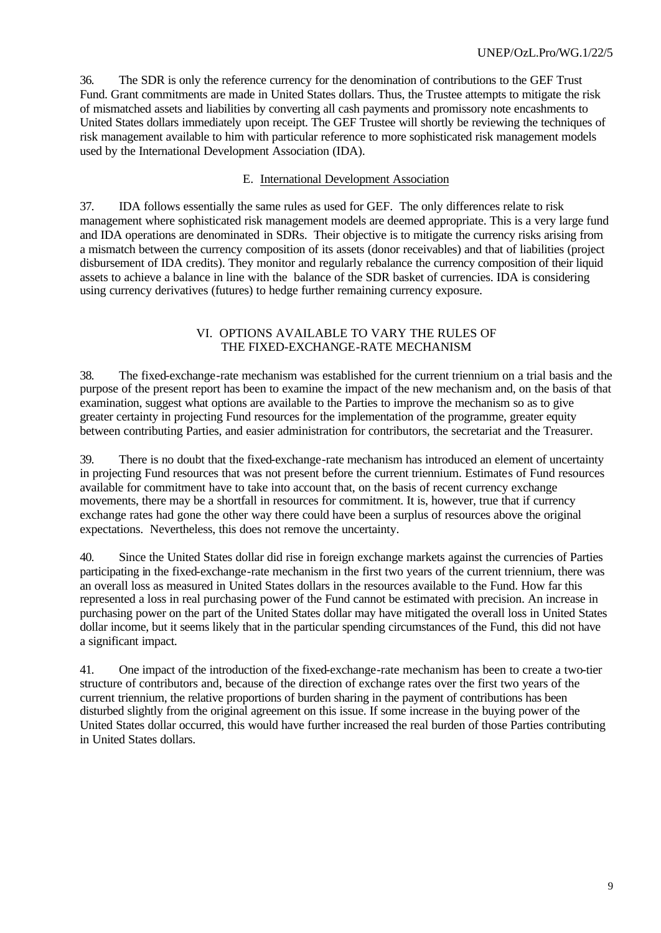36. The SDR is only the reference currency for the denomination of contributions to the GEF Trust Fund. Grant commitments are made in United States dollars. Thus, the Trustee attempts to mitigate the risk of mismatched assets and liabilities by converting all cash payments and promissory note encashments to United States dollars immediately upon receipt. The GEF Trustee will shortly be reviewing the techniques of risk management available to him with particular reference to more sophisticated risk management models used by the International Development Association (IDA).

## E. International Development Association

37. IDA follows essentially the same rules as used for GEF. The only differences relate to risk management where sophisticated risk management models are deemed appropriate. This is a very large fund and IDA operations are denominated in SDRs. Their objective is to mitigate the currency risks arising from a mismatch between the currency composition of its assets (donor receivables) and that of liabilities (project disbursement of IDA credits). They monitor and regularly rebalance the currency composition of their liquid assets to achieve a balance in line with the balance of the SDR basket of currencies. IDA is considering using currency derivatives (futures) to hedge further remaining currency exposure.

#### VI. OPTIONS AVAILABLE TO VARY THE RULES OF THE FIXED-EXCHANGE-RATE MECHANISM

38. The fixed-exchange-rate mechanism was established for the current triennium on a trial basis and the purpose of the present report has been to examine the impact of the new mechanism and, on the basis of that examination, suggest what options are available to the Parties to improve the mechanism so as to give greater certainty in projecting Fund resources for the implementation of the programme, greater equity between contributing Parties, and easier administration for contributors, the secretariat and the Treasurer.

39. There is no doubt that the fixed-exchange-rate mechanism has introduced an element of uncertainty in projecting Fund resources that was not present before the current triennium. Estimates of Fund resources available for commitment have to take into account that, on the basis of recent currency exchange movements, there may be a shortfall in resources for commitment. It is, however, true that if currency exchange rates had gone the other way there could have been a surplus of resources above the original expectations. Nevertheless, this does not remove the uncertainty.

40. Since the United States dollar did rise in foreign exchange markets against the currencies of Parties participating in the fixed-exchange-rate mechanism in the first two years of the current triennium, there was an overall loss as measured in United States dollars in the resources available to the Fund. How far this represented a loss in real purchasing power of the Fund cannot be estimated with precision. An increase in purchasing power on the part of the United States dollar may have mitigated the overall loss in United States dollar income, but it seems likely that in the particular spending circumstances of the Fund, this did not have a significant impact.

41. One impact of the introduction of the fixed-exchange-rate mechanism has been to create a two-tier structure of contributors and, because of the direction of exchange rates over the first two years of the current triennium, the relative proportions of burden sharing in the payment of contributions has been disturbed slightly from the original agreement on this issue. If some increase in the buying power of the United States dollar occurred, this would have further increased the real burden of those Parties contributing in United States dollars.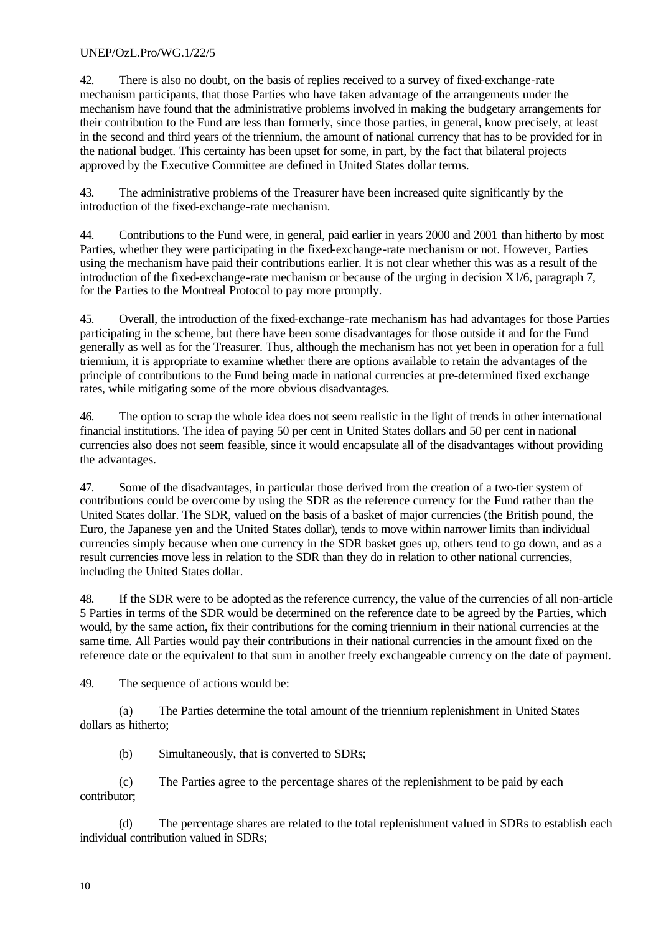42. There is also no doubt, on the basis of replies received to a survey of fixed-exchange-rate mechanism participants, that those Parties who have taken advantage of the arrangements under the mechanism have found that the administrative problems involved in making the budgetary arrangements for their contribution to the Fund are less than formerly, since those parties, in general, know precisely, at least in the second and third years of the triennium, the amount of national currency that has to be provided for in the national budget. This certainty has been upset for some, in part, by the fact that bilateral projects approved by the Executive Committee are defined in United States dollar terms.

43. The administrative problems of the Treasurer have been increased quite significantly by the introduction of the fixed-exchange-rate mechanism.

44. Contributions to the Fund were, in general, paid earlier in years 2000 and 2001 than hitherto by most Parties, whether they were participating in the fixed-exchange-rate mechanism or not. However, Parties using the mechanism have paid their contributions earlier. It is not clear whether this was as a result of the introduction of the fixed-exchange-rate mechanism or because of the urging in decision X1/6, paragraph 7, for the Parties to the Montreal Protocol to pay more promptly.

45. Overall, the introduction of the fixed-exchange-rate mechanism has had advantages for those Parties participating in the scheme, but there have been some disadvantages for those outside it and for the Fund generally as well as for the Treasurer. Thus, although the mechanism has not yet been in operation for a full triennium, it is appropriate to examine whether there are options available to retain the advantages of the principle of contributions to the Fund being made in national currencies at pre-determined fixed exchange rates, while mitigating some of the more obvious disadvantages.

46. The option to scrap the whole idea does not seem realistic in the light of trends in other international financial institutions. The idea of paying 50 per cent in United States dollars and 50 per cent in national currencies also does not seem feasible, since it would encapsulate all of the disadvantages without providing the advantages.

47. Some of the disadvantages, in particular those derived from the creation of a two-tier system of contributions could be overcome by using the SDR as the reference currency for the Fund rather than the United States dollar. The SDR, valued on the basis of a basket of major currencies (the British pound, the Euro, the Japanese yen and the United States dollar), tends to move within narrower limits than individual currencies simply because when one currency in the SDR basket goes up, others tend to go down, and as a result currencies move less in relation to the SDR than they do in relation to other national currencies, including the United States dollar.

48. If the SDR were to be adopted as the reference currency, the value of the currencies of all non-article 5 Parties in terms of the SDR would be determined on the reference date to be agreed by the Parties, which would, by the same action, fix their contributions for the coming triennium in their national currencies at the same time. All Parties would pay their contributions in their national currencies in the amount fixed on the reference date or the equivalent to that sum in another freely exchangeable currency on the date of payment.

49. The sequence of actions would be:

(a) The Parties determine the total amount of the triennium replenishment in United States dollars as hitherto;

(b) Simultaneously, that is converted to SDRs;

(c) The Parties agree to the percentage shares of the replenishment to be paid by each contributor;

(d) The percentage shares are related to the total replenishment valued in SDRs to establish each individual contribution valued in SDRs;